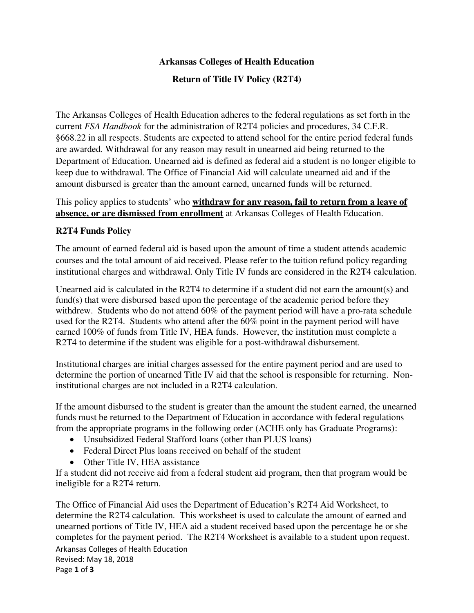## **Arkansas Colleges of Health Education**

## **Return of Title IV Policy (R2T4)**

The Arkansas Colleges of Health Education adheres to the federal regulations as set forth in the current *FSA Handbook* for the administration of R2T4 policies and procedures, 34 C.F.R. §668.22 in all respects. Students are expected to attend school for the entire period federal funds are awarded. Withdrawal for any reason may result in unearned aid being returned to the Department of Education. Unearned aid is defined as federal aid a student is no longer eligible to keep due to withdrawal. The Office of Financial Aid will calculate unearned aid and if the amount disbursed is greater than the amount earned, unearned funds will be returned.

### This policy applies to students' who **withdraw for any reason, fail to return from a leave of absence, or are dismissed from enrollment** at Arkansas Colleges of Health Education.

## **R2T4 Funds Policy**

The amount of earned federal aid is based upon the amount of time a student attends academic courses and the total amount of aid received. Please refer to the tuition refund policy regarding institutional charges and withdrawal. Only Title IV funds are considered in the R2T4 calculation.

Unearned aid is calculated in the R2T4 to determine if a student did not earn the amount(s) and fund(s) that were disbursed based upon the percentage of the academic period before they withdrew. Students who do not attend 60% of the payment period will have a pro-rata schedule used for the R2T4. Students who attend after the 60% point in the payment period will have earned 100% of funds from Title IV, HEA funds. However, the institution must complete a R2T4 to determine if the student was eligible for a post-withdrawal disbursement.

Institutional charges are initial charges assessed for the entire payment period and are used to determine the portion of unearned Title IV aid that the school is responsible for returning. Noninstitutional charges are not included in a R2T4 calculation.

If the amount disbursed to the student is greater than the amount the student earned, the unearned funds must be returned to the Department of Education in accordance with federal regulations from the appropriate programs in the following order (ACHE only has Graduate Programs):

- Unsubsidized Federal Stafford loans (other than PLUS loans)
- Federal Direct Plus loans received on behalf of the student
- Other Title IV, HEA assistance

If a student did not receive aid from a federal student aid program, then that program would be ineligible for a R2T4 return.

Arkansas Colleges of Health Education The Office of Financial Aid uses the Department of Education's R2T4 Aid Worksheet, to determine the R2T4 calculation. This worksheet is used to calculate the amount of earned and unearned portions of Title IV, HEA aid a student received based upon the percentage he or she completes for the payment period. The R2T4 Worksheet is available to a student upon request.

Revised: May 18, 2018 Page **1** of **3**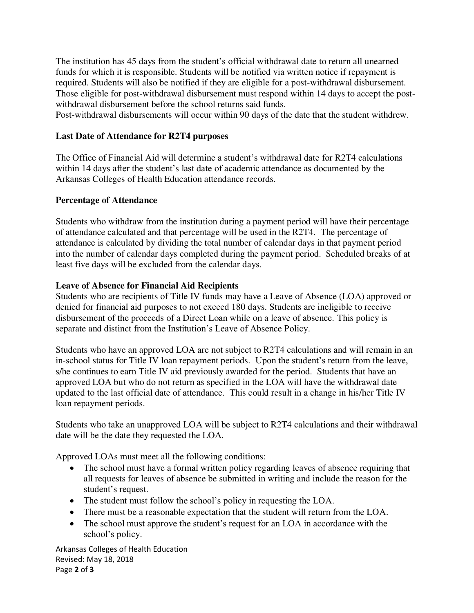The institution has 45 days from the student's official withdrawal date to return all unearned funds for which it is responsible. Students will be notified via written notice if repayment is required. Students will also be notified if they are eligible for a post-withdrawal disbursement. Those eligible for post-withdrawal disbursement must respond within 14 days to accept the postwithdrawal disbursement before the school returns said funds.

Post-withdrawal disbursements will occur within 90 days of the date that the student withdrew.

### **Last Date of Attendance for R2T4 purposes**

The Office of Financial Aid will determine a student's withdrawal date for R2T4 calculations within 14 days after the student's last date of academic attendance as documented by the Arkansas Colleges of Health Education attendance records.

#### **Percentage of Attendance**

Students who withdraw from the institution during a payment period will have their percentage of attendance calculated and that percentage will be used in the R2T4. The percentage of attendance is calculated by dividing the total number of calendar days in that payment period into the number of calendar days completed during the payment period. Scheduled breaks of at least five days will be excluded from the calendar days.

### **Leave of Absence for Financial Aid Recipients**

Students who are recipients of Title IV funds may have a Leave of Absence (LOA) approved or denied for financial aid purposes to not exceed 180 days. Students are ineligible to receive disbursement of the proceeds of a Direct Loan while on a leave of absence. This policy is separate and distinct from the Institution's Leave of Absence Policy.

Students who have an approved LOA are not subject to R2T4 calculations and will remain in an in-school status for Title IV loan repayment periods. Upon the student's return from the leave, s/he continues to earn Title IV aid previously awarded for the period. Students that have an approved LOA but who do not return as specified in the LOA will have the withdrawal date updated to the last official date of attendance. This could result in a change in his/her Title IV loan repayment periods.

Students who take an unapproved LOA will be subject to R2T4 calculations and their withdrawal date will be the date they requested the LOA.

Approved LOAs must meet all the following conditions:

- The school must have a formal written policy regarding leaves of absence requiring that all requests for leaves of absence be submitted in writing and include the reason for the student's request.
- The student must follow the school's policy in requesting the LOA.
- There must be a reasonable expectation that the student will return from the LOA.
- The school must approve the student's request for an LOA in accordance with the school's policy.

Arkansas Colleges of Health Education Revised: May 18, 2018 Page **2** of **3**